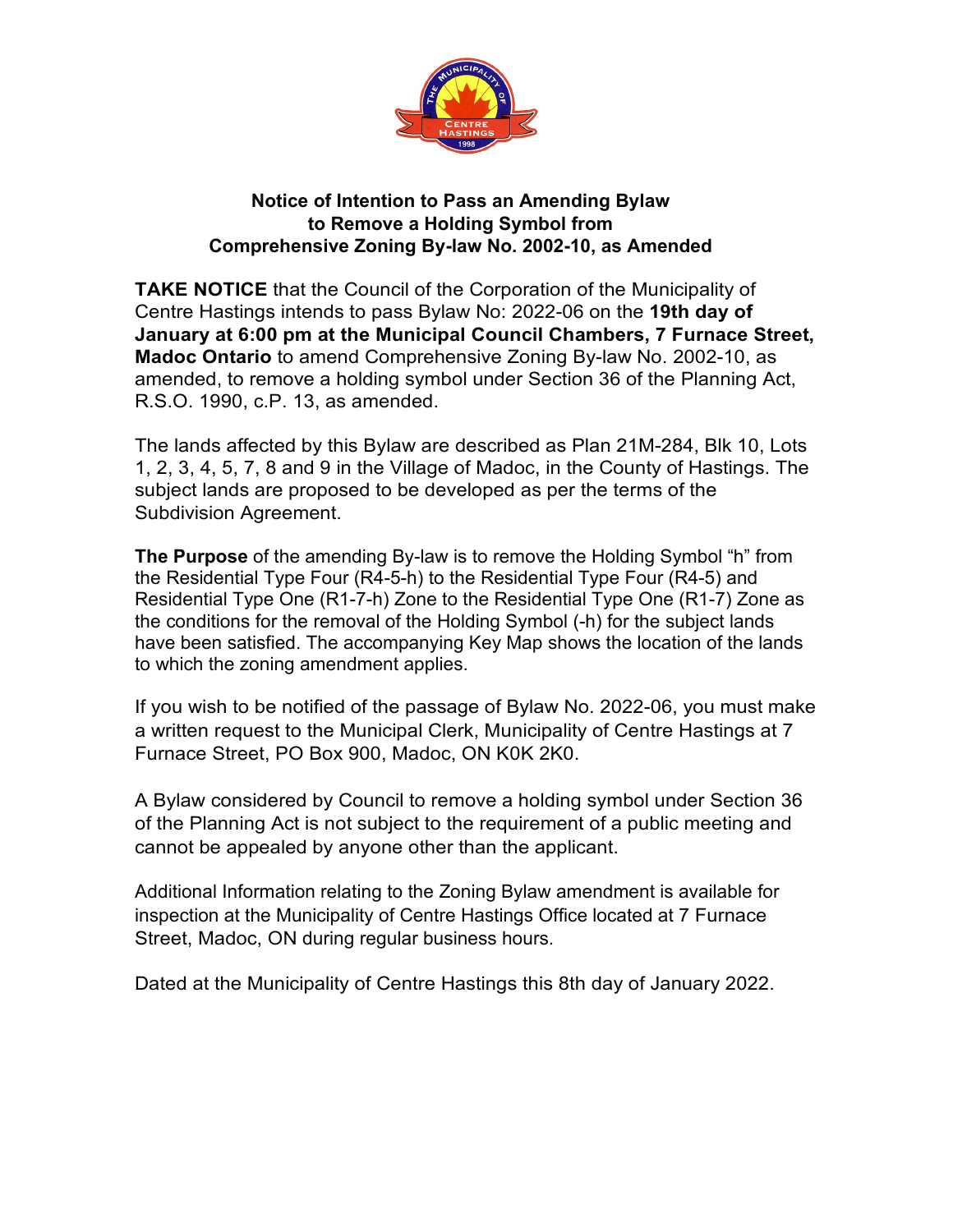

## **Notice of Intention to Pass an Amending Bylaw to Remove a Holding Symbol from Comprehensive Zoning By-law No. 2002-10, as Amended**

**TAKE NOTICE** that the Council of the Corporation of the Municipality of Centre Hastings intends to pass Bylaw No: 2022-06 on the **19th day of January at 6:00 pm at the Municipal Council Chambers, 7 Furnace Street, Madoc Ontario** to amend Comprehensive Zoning By-law No. 2002-10, as amended, to remove a holding symbol under Section 36 of the Planning Act, R.S.O. 1990, c.P. 13, as amended.

The lands affected by this Bylaw are described as Plan 21M-284, Blk 10, Lots 1, 2, 3, 4, 5, 7, 8 and 9 in the Village of Madoc, in the County of Hastings. The subject lands are proposed to be developed as per the terms of the Subdivision Agreement.

**The Purpose** of the amending By-law is to remove the Holding Symbol "h" from the Residential Type Four (R4-5-h) to the Residential Type Four (R4-5) and Residential Type One (R1-7-h) Zone to the Residential Type One (R1-7) Zone as the conditions for the removal of the Holding Symbol (-h) for the subject lands have been satisfied. The accompanying Key Map shows the location of the lands to which the zoning amendment applies.

If you wish to be notified of the passage of Bylaw No. 2022-06, you must make a written request to the Municipal Clerk, Municipality of Centre Hastings at 7 Furnace Street, PO Box 900, Madoc, ON K0K 2K0.

A Bylaw considered by Council to remove a holding symbol under Section 36 of the Planning Act is not subject to the requirement of a public meeting and cannot be appealed by anyone other than the applicant.

Additional Information relating to the Zoning Bylaw amendment is available for inspection at the Municipality of Centre Hastings Office located at 7 Furnace Street, Madoc, ON during regular business hours.

Dated at the Municipality of Centre Hastings this 8th day of January 2022.